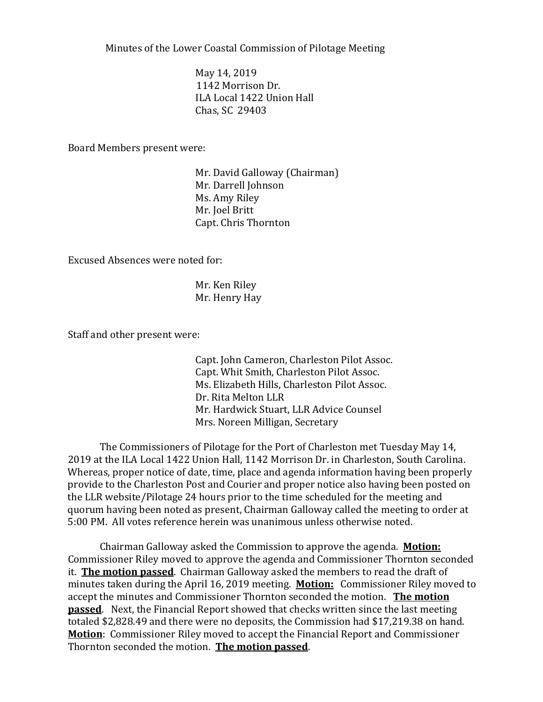Minutes of the Lower Coastal Commission of Pilotage Meeting

May 14, 2019 1142 Morrison Dr. ILA Local 1422 Union Hall Chas, SC 29403

Board Members present were:

Mr. David Galloway (Chairman) Mr. Darrell Johnson Ms. Amy Riley Mr. Joel Britt Capt. Chris Thornton

Excused Absences were noted for:

Mr. Ken Riley Mr. Henry Hay

Staff and other present were:

Capt. John Cameron, Charleston Pilot Assoc. Capt. Whit Smith, Charleston Pilot Assoc. Ms. Elizabeth Hills, Charleston Pilot Assoc. Dr. Rita Melton LLR Mr. Hardwick Stuart, LLR Advice Counsel Mrs. Noreen Milligan, Secretary

The Commissioners of Pilotage for the Port of Charleston met Tuesday May 14, 2019 at the ILA Local 1422 Union Hall, 1142 Morrison Dr. in Charleston, South Carolina. Whereas, proper notice of date, time, place and agenda information having been properly provide to the Charleston Post and Courier and proper notice also having been posted on the LLR website/Pilotage 24 hours prior to the time scheduled for the meeting and quorum having been noted as present, Chairman Galloway called the meeting to order at 5:00 PM. All votes reference herein was unanimous unless otherwise noted.

Chairman Galloway asked the Commission to approve the agenda. **Motion:** Commissioner Riley moved to approve the agenda and Commissioner Thornton seconded it. **The motion passed**. Chairman Galloway asked the members to read the draft of minutes taken during the April 16, 2019 meeting. **Motion:** Commissioner Riley moved to accept the minutes and Commissioner Thornton seconded the motion. **The motion passed**. Next, the Financial Report showed that checks written since the last meeting totaled \$2,828.49 and there were no deposits, the Commission had \$17,219.38 on hand. **Motion**: Commissioner Riley moved to accept the Financial Report and Commissioner Thornton seconded the motion. **The motion passed**.